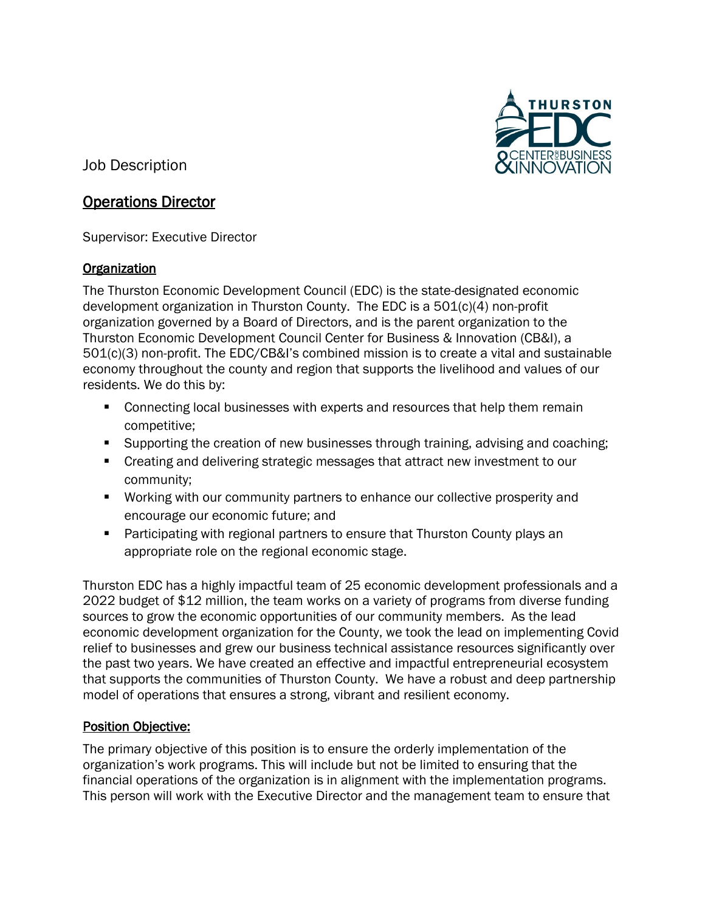

Job Description

# Operations Director

Supervisor: Executive Director

## **Organization**

The Thurston Economic Development Council (EDC) is the state-designated economic development organization in Thurston County. The EDC is a 501(c)(4) non-profit organization governed by a Board of Directors, and is the parent organization to the Thurston Economic Development Council Center for Business & Innovation (CB&I), a 501(c)(3) non-profit. The EDC/CB&I's combined mission is to create a vital and sustainable economy throughout the county and region that supports the livelihood and values of our residents. We do this by:

- Connecting local businesses with experts and resources that help them remain competitive;
- Supporting the creation of new businesses through training, advising and coaching;
- Creating and delivering strategic messages that attract new investment to our community;
- **Working with our community partners to enhance our collective prosperity and** encourage our economic future; and
- **Participating with regional partners to ensure that Thurston County plays an** appropriate role on the regional economic stage.

Thurston EDC has a highly impactful team of 25 economic development professionals and a 2022 budget of \$12 million, the team works on a variety of programs from diverse funding sources to grow the economic opportunities of our community members. As the lead economic development organization for the County, we took the lead on implementing Covid relief to businesses and grew our business technical assistance resources significantly over the past two years. We have created an effective and impactful entrepreneurial ecosystem that supports the communities of Thurston County. We have a robust and deep partnership model of operations that ensures a strong, vibrant and resilient economy.

## Position Objective:

The primary objective of this position is to ensure the orderly implementation of the organization's work programs. This will include but not be limited to ensuring that the financial operations of the organization is in alignment with the implementation programs. This person will work with the Executive Director and the management team to ensure that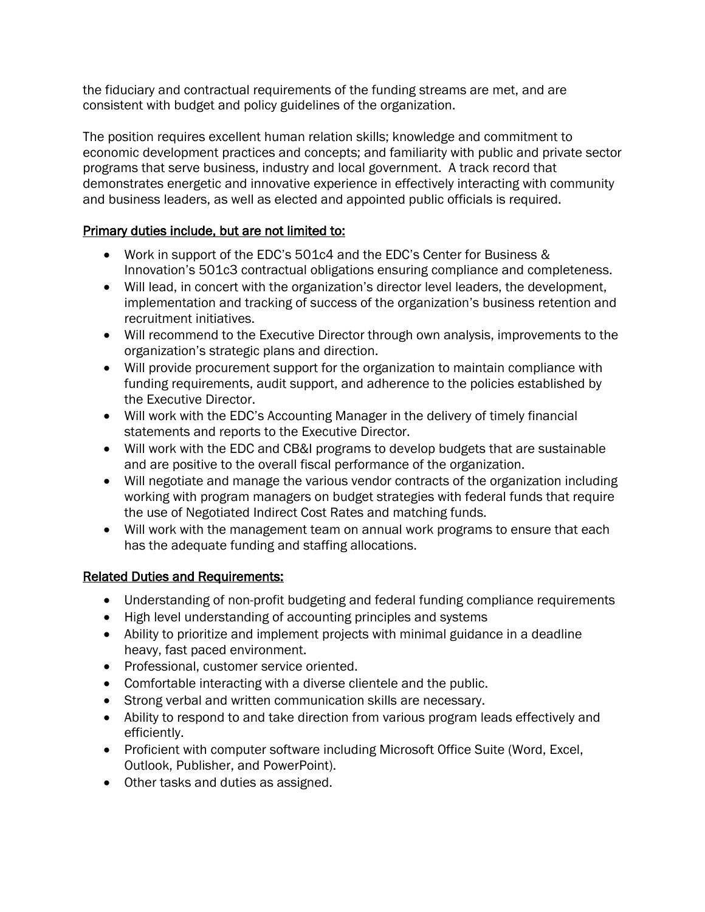the fiduciary and contractual requirements of the funding streams are met, and are consistent with budget and policy guidelines of the organization.

The position requires excellent human relation skills; knowledge and commitment to economic development practices and concepts; and familiarity with public and private sector programs that serve business, industry and local government. A track record that demonstrates energetic and innovative experience in effectively interacting with community and business leaders, as well as elected and appointed public officials is required.

## Primary duties include, but are not limited to:

- Work in support of the EDC's 501c4 and the EDC's Center for Business & Innovation's 501c3 contractual obligations ensuring compliance and completeness.
- Will lead, in concert with the organization's director level leaders, the development, implementation and tracking of success of the organization's business retention and recruitment initiatives.
- Will recommend to the Executive Director through own analysis, improvements to the organization's strategic plans and direction.
- Will provide procurement support for the organization to maintain compliance with funding requirements, audit support, and adherence to the policies established by the Executive Director.
- Will work with the EDC's Accounting Manager in the delivery of timely financial statements and reports to the Executive Director.
- Will work with the EDC and CB&I programs to develop budgets that are sustainable and are positive to the overall fiscal performance of the organization.
- Will negotiate and manage the various vendor contracts of the organization including working with program managers on budget strategies with federal funds that require the use of Negotiated Indirect Cost Rates and matching funds.
- Will work with the management team on annual work programs to ensure that each has the adequate funding and staffing allocations.

## Related Duties and Requirements:

- Understanding of non-profit budgeting and federal funding compliance requirements
- High level understanding of accounting principles and systems
- Ability to prioritize and implement projects with minimal guidance in a deadline heavy, fast paced environment.
- Professional, customer service oriented.
- Comfortable interacting with a diverse clientele and the public.
- Strong verbal and written communication skills are necessary.
- Ability to respond to and take direction from various program leads effectively and efficiently.
- Proficient with computer software including Microsoft Office Suite (Word, Excel, Outlook, Publisher, and PowerPoint).
- Other tasks and duties as assigned.